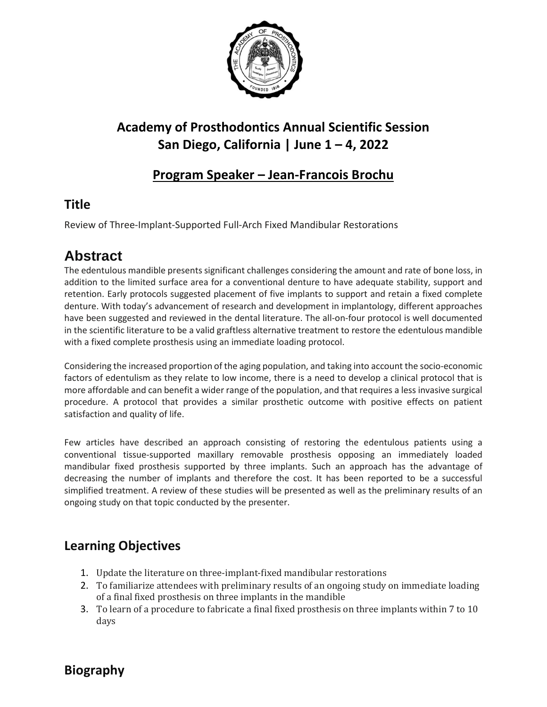

# **Academy of Prosthodontics Annual Scientific Session San Diego, California | June 1 – 4, 2022**

#### **Program Speaker – Jean-Francois Brochu**

### **Title**

Review of Three-Implant-Supported Full-Arch Fixed Mandibular Restorations

# **Abstract**

The edentulous mandible presentssignificant challenges considering the amount and rate of bone loss, in addition to the limited surface area for a conventional denture to have adequate stability, support and retention. Early protocols suggested placement of five implants to support and retain a fixed complete denture. With today's advancement of research and development in implantology, different approaches have been suggested and reviewed in the dental literature. The all-on-four protocol is well documented in the scientific literature to be a valid graftless alternative treatment to restore the edentulous mandible with a fixed complete prosthesis using an immediate loading protocol.

Considering the increased proportion of the aging population, and taking into account the socio-economic factors of edentulism as they relate to low income, there is a need to develop a clinical protocol that is more affordable and can benefit a wider range of the population, and that requires a less invasive surgical procedure. A protocol that provides a similar prosthetic outcome with positive effects on patient satisfaction and quality of life.

Few articles have described an approach consisting of restoring the edentulous patients using a conventional tissue-supported maxillary removable prosthesis opposing an immediately loaded mandibular fixed prosthesis supported by three implants. Such an approach has the advantage of decreasing the number of implants and therefore the cost. It has been reported to be a successful simplified treatment. A review of these studies will be presented as well as the preliminary results of an ongoing study on that topic conducted by the presenter.

### **Learning Objectives**

- 1. Update the literature on three-implant-fixed mandibular restorations
- 2. To familiarize attendees with preliminary results of an ongoing study on immediate loading of a final fixed prosthesis on three implants in the mandible
- 3. To learn of a procedure to fabricate a final fixed prosthesis on three implants within 7 to 10 days